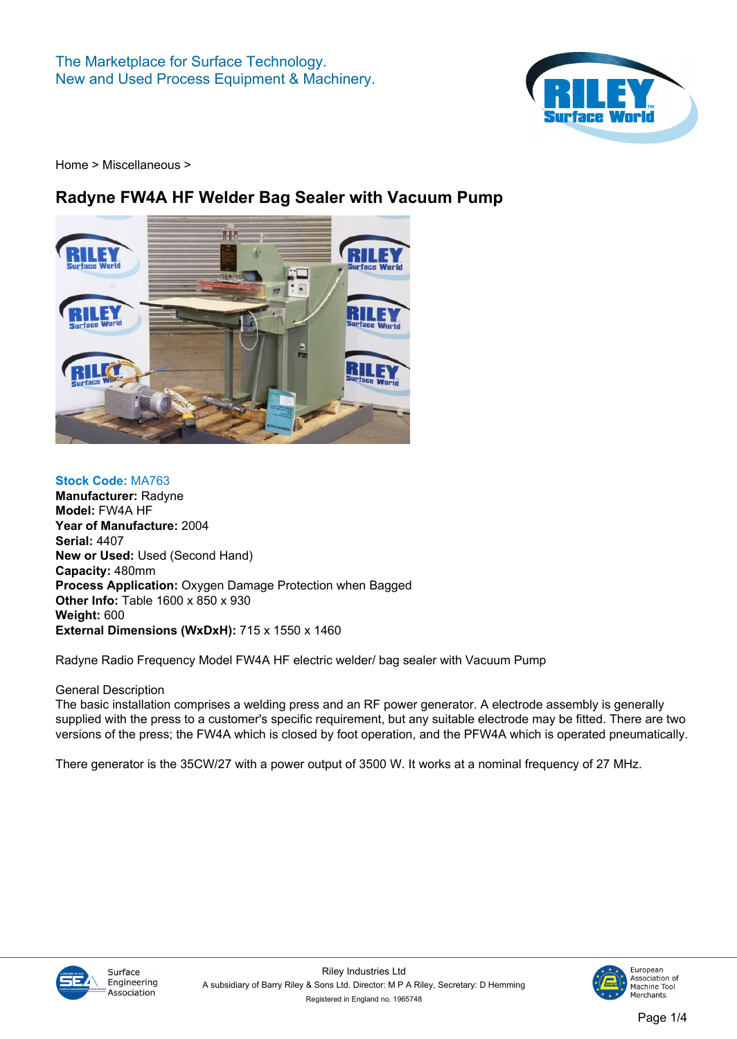

## **Radyne FW4A HF Welder Bag Sealer with Vacuum Pump**



**Stock Code: MA763 Manufacturer: Radyne Model: FW4A HF Year of Manufacture: 2004 Serial: 4407 New or Used: Used (Second Hand) Capacity: 480mm Process Application: Oxygen Damage Protection when Bagged Other Info: Table 1600 x 850 x 930 Weight: 600 External Dimensions (WxDxH): 715 x 1550 x 1460**

**Radyne Radio Frequency Model FW4A HF electric welder/ bag sealer with Vacuum Pump**

**General Description**

**The basic installation comprises a welding press and an RF power generator. A electrode assembly is generally supplied with the press to a customer's specific requirement, but any suitable electrode may be fitted. There are two versions of the press; the FW4A which is closed by foot operation, and the PFW4A which is operated pneumatically.**

**There generator is the 35CW/27 with a power output of 3500 W. It works at a nominal frequency of 27 MHz.**



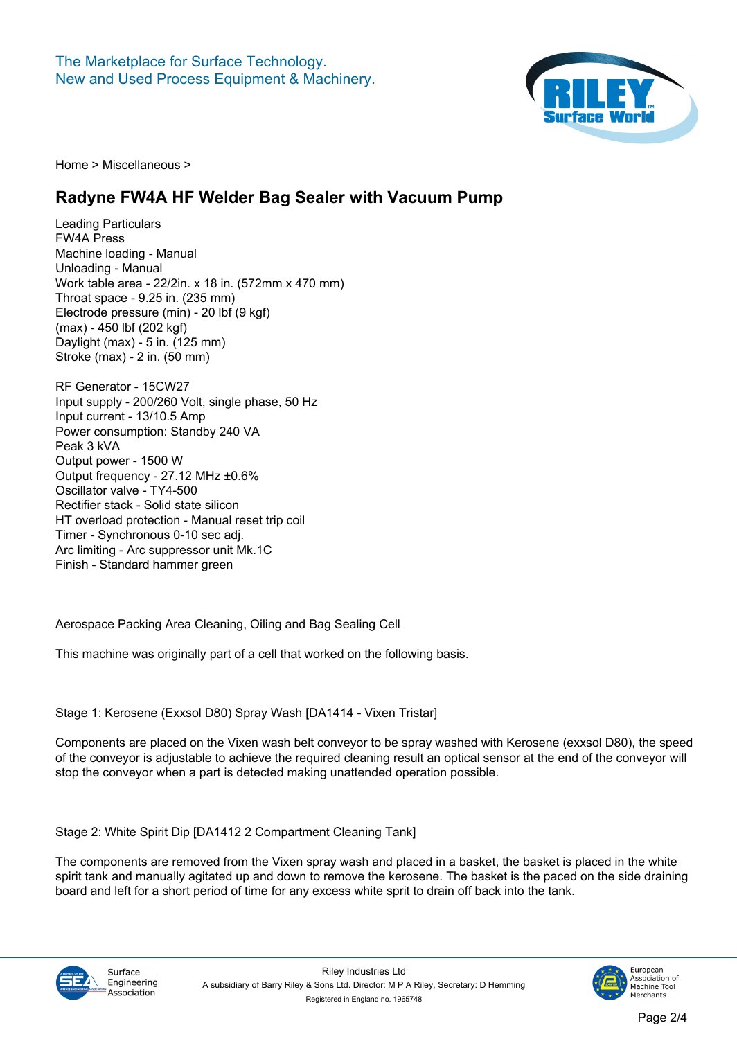

#### **Radyne FW4A HF Welder Bag Sealer with Vacuum Pump**

**Leading Particulars FW4A Press Machine loading - Manual Unloading - Manual Work table area - 22/2in. x 18 in. (572mm x 470 mm) Throat space - 9.25 in. (235 mm) Electrode pressure (min) - 20 lbf (9 kgf) (max) - 450 lbf (202 kgf) Daylight (max) - 5 in. (125 mm) Stroke (max) - 2 in. (50 mm)**

**RF Generator - 15CW27 Input supply - 200/260 Volt, single phase, 50 Hz Input current - 13/10.5 Amp Power consumption: Standby 240 VA Peak 3 kVA Output power - 1500 W Output frequency - 27.12 MHz ±0.6% Oscillator valve - TY4-500 Rectifier stack - Solid state silicon HT overload protection - Manual reset trip coil Timer - Synchronous 0-10 sec adj. Arc limiting - Arc suppressor unit Mk.1C Finish - Standard hammer green**

**Aerospace Packing Area Cleaning, Oiling and Bag Sealing Cell**

**This machine was originally part of a cell that worked on the following basis.**

**Stage 1: Kerosene (Exxsol D80) Spray Wash [[DA1414 - Vixen Tristar\]](/machines/30748.htm)**

**Components are placed on the Vixen wash belt conveyor to be spray washed with Kerosene (exxsol D80), the speed of the conveyor is adjustable to achieve the required cleaning result an optical sensor at the end of the conveyor will stop the conveyor when a part is detected making unattended operation possible.**

**Stage 2: White Spirit Dip [\[DA1412 2 Compartment Cleaning Tank\]](/machines/30746.htm)**

**The components are removed from the Vixen spray wash and placed in a basket, the basket is placed in the white spirit tank and manually agitated up and down to remove the kerosene. The basket is the paced on the side draining board and left for a short period of time for any excess white sprit to drain off back into the tank.**



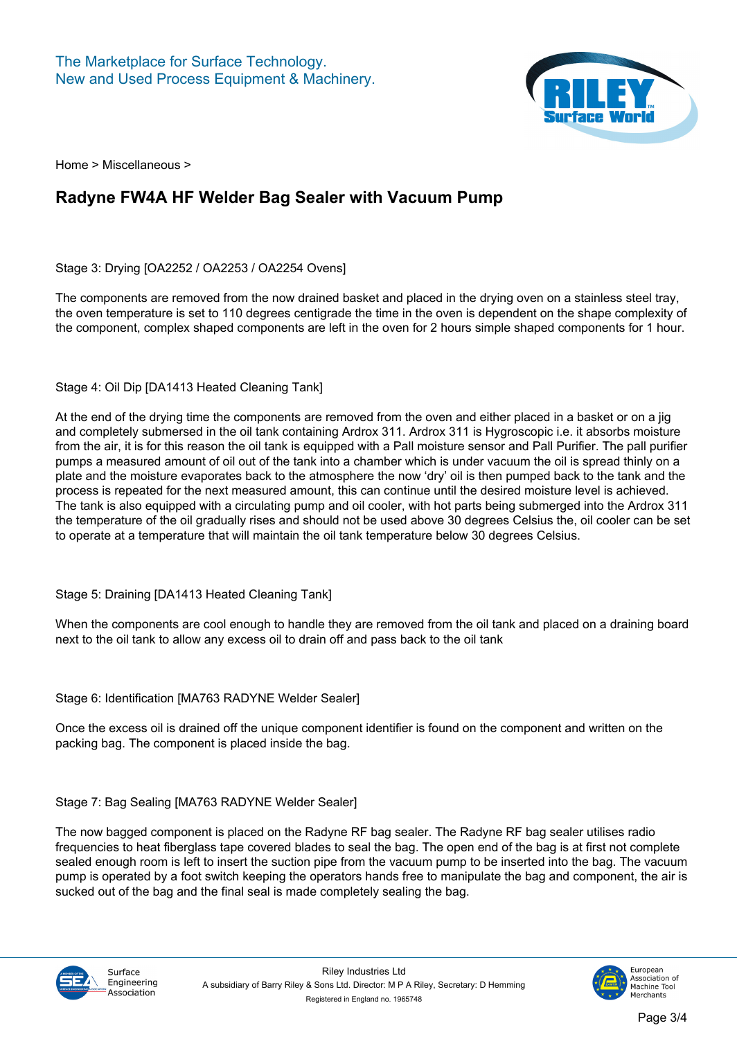

## **Radyne FW4A HF Welder Bag Sealer with Vacuum Pump**

**Stage 3: Drying [\[OA2252](/machines/30752.htm) / [OA2253](/machines/30753.htm) / [OA2254](/machines/30754.htm) Ovens]**

**The components are removed from the now drained basket and placed in the drying oven on a stainless steel tray, the oven temperature is set to 110 degrees centigrade the time in the oven is dependent on the shape complexity of the component, complex shaped components are left in the oven for 2 hours simple shaped components for 1 hour.**

**Stage 4: Oil Dip [[DA1413 Heated Cleaning Tank\]](/machines/30747.htm)**

**At the end of the drying time the components are removed from the oven and either placed in a basket or on a jig and completely submersed in the oil tank containing Ardrox 311. Ardrox 311 is Hygroscopic i.e. it absorbs moisture from the air, it is for this reason the oil tank is equipped with a Pall moisture sensor and Pall Purifier. The pall purifier pumps a measured amount of oil out of the tank into a chamber which is under vacuum the oil is spread thinly on a plate and the moisture evaporates back to the atmosphere the now 'dry' oil is then pumped back to the tank and the process is repeated for the next measured amount, this can continue until the desired moisture level is achieved. The tank is also equipped with a circulating pump and oil cooler, with hot parts being submerged into the Ardrox 311 the temperature of the oil gradually rises and should not be used above 30 degrees Celsius the, oil cooler can be set to operate at a temperature that will maintain the oil tank temperature below 30 degrees Celsius.**

**Stage 5: Draining [[DA1413 Heated Cleaning Tank](/machines/30747.htm)]**

**When the components are cool enough to handle they are removed from the oil tank and placed on a draining board next to the oil tank to allow any excess oil to drain off and pass back to the oil tank**

#### **Stage 6: Identification [[MA763 RADYNE Welder Sealer\]](/machines/30751.htm)**

**Once the excess oil is drained off the unique component identifier is found on the component and written on the packing bag. The component is placed inside the bag.**

**Stage 7: Bag Sealing [[MA763 RADYNE Welder Sealer\]](/machines/30751.htm)**

**The now bagged component is placed on the Radyne RF bag sealer. The Radyne RF bag sealer utilises radio frequencies to heat fiberglass tape covered blades to seal the bag. The open end of the bag is at first not complete sealed enough room is left to insert the suction pipe from the vacuum pump to be inserted into the bag. The vacuum pump is operated by a foot switch keeping the operators hands free to manipulate the bag and component, the air is sucked out of the bag and the final seal is made completely sealing the bag.**